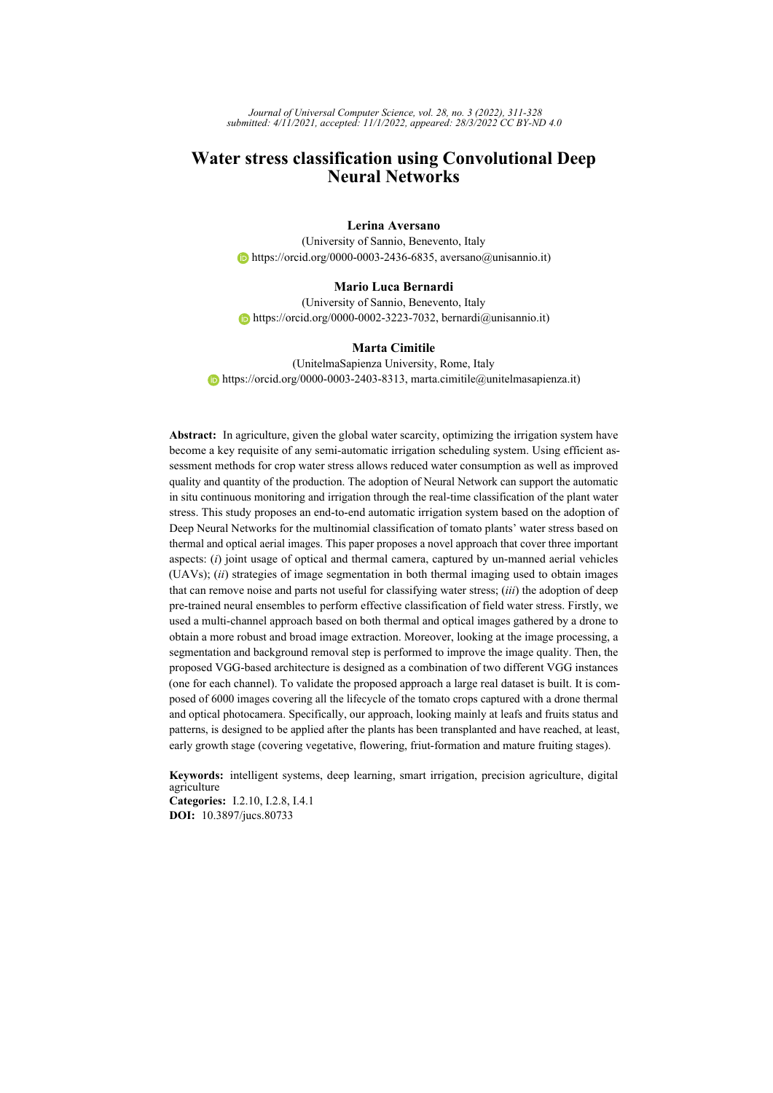*Journal of Universal Computer Science, vol. 28, no. 3 (2022), 311-328 submitted: 4/11/2021, accepted: 11/1/2022, appeared: 28/3/2022 CC BY-ND 4.0*

# **Water stress classification using Convolutional Deep Neural Networks**

### **Lerina Aversano**

(University of Sannio, Benevento, Italy  $\bullet$  [https://orcid.org/0000-0003-2436-6835,](https://orcid.org/0000-0003-2436-6835) aversano@unisannio.it)

#### **Mario Luca Bernardi**

(University of Sannio, Benevento, Italy  $\bullet$  [https://orcid.org/0000-0002-3223-7032,](https://orcid.org/0000-0002-3223-7032) bernardi@unisannio.it)

### **Marta Cimitile**

(UnitelmaSapienza University, Rome, Italy  $\bullet$  [https://orcid.org/0000-0003-2403-8313,](https://orcid.org/0000-0003-2403-8313) marta.cimitile@unitelmasapienza.it)

**Abstract:** In agriculture, given the global water scarcity, optimizing the irrigation system have become a key requisite of any semi-automatic irrigation scheduling system. Using efficient assessment methods for crop water stress allows reduced water consumption as well as improved quality and quantity of the production. The adoption of Neural Network can support the automatic in situ continuous monitoring and irrigation through the real-time classification of the plant water stress. This study proposes an end-to-end automatic irrigation system based on the adoption of Deep Neural Networks for the multinomial classification of tomato plants' water stress based on thermal and optical aerial images. This paper proposes a novel approach that cover three important aspects: (*i*) joint usage of optical and thermal camera, captured by un-manned aerial vehicles (UAVs); (*ii*) strategies of image segmentation in both thermal imaging used to obtain images that can remove noise and parts not useful for classifying water stress; (*iii*) the adoption of deep pre-trained neural ensembles to perform effective classification of field water stress. Firstly, we used a multi-channel approach based on both thermal and optical images gathered by a drone to obtain a more robust and broad image extraction. Moreover, looking at the image processing, a segmentation and background removal step is performed to improve the image quality. Then, the proposed VGG-based architecture is designed as a combination of two different VGG instances (one for each channel). To validate the proposed approach a large real dataset is built. It is composed of 6000 images covering all the lifecycle of the tomato crops captured with a drone thermal and optical photocamera. Specifically, our approach, looking mainly at leafs and fruits status and patterns, is designed to be applied after the plants has been transplanted and have reached, at least, early growth stage (covering vegetative, flowering, friut-formation and mature fruiting stages).

**Keywords:** intelligent systems, deep learning, smart irrigation, precision agriculture, digital agriculture **Categories:** I.2.10, I.2.8, I.4.1

**DOI:** 10.3897/jucs.80733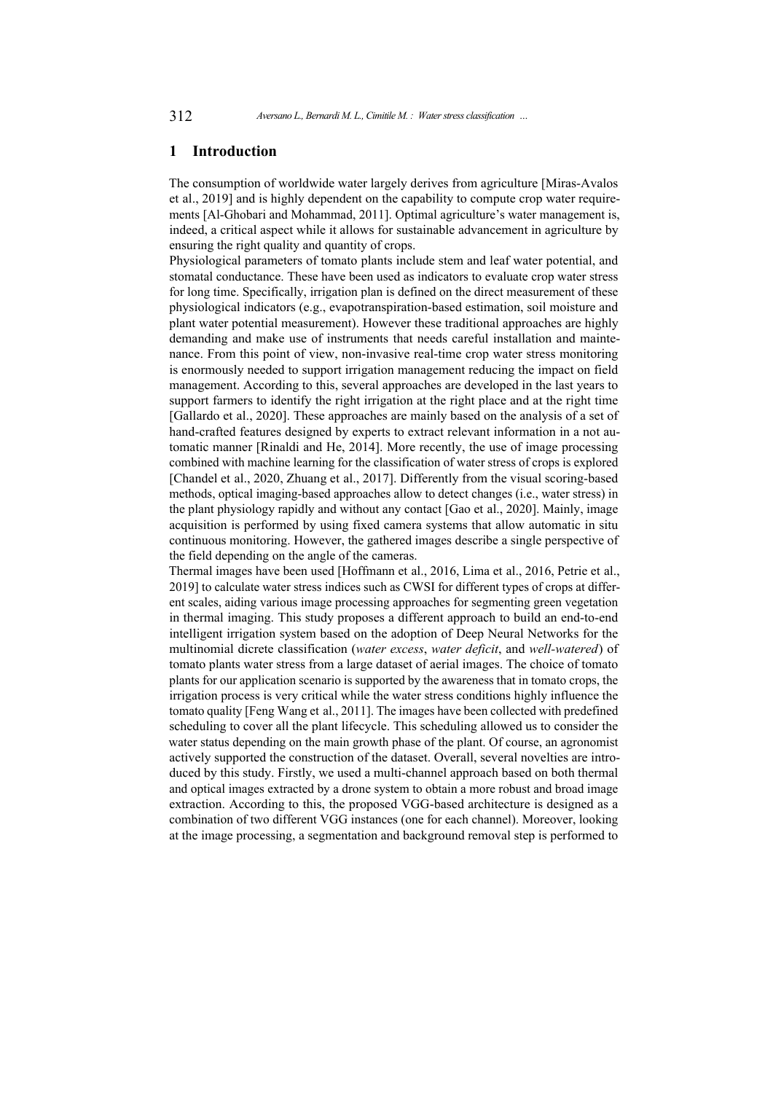### **1 Introduction**

The consumption of worldwide water largely derives from agriculture [\[Miras-Avalos](#page-16-0) [et al., 2019\]](#page-16-0) and is highly dependent on the capability to compute crop water requirements [\[Al-Ghobari and Mohammad, 2011\]](#page-15-0). Optimal agriculture's water management is, indeed, a critical aspect while it allows for sustainable advancement in agriculture by ensuring the right quality and quantity of crops.

Physiological parameters of tomato plants include stem and leaf water potential, and stomatal conductance. These have been used as indicators to evaluate crop water stress for long time. Specifically, irrigation plan is defined on the direct measurement of these physiological indicators (e.g., evapotranspiration-based estimation, soil moisture and plant water potential measurement). However these traditional approaches are highly demanding and make use of instruments that needs careful installation and maintenance. From this point of view, non-invasive real-time crop water stress monitoring is enormously needed to support irrigation management reducing the impact on field management. According to this, several approaches are developed in the last years to support farmers to identify the right irrigation at the right place and at the right time [\[Gallardo et al., 2020\]](#page-15-1). These approaches are mainly based on the analysis of a set of hand-crafted features designed by experts to extract relevant information in a not automatic manner [\[Rinaldi and He, 2014\]](#page-16-1). More recently, the use of image processing combined with machine learning for the classification of water stress of crops is explored [\[Chandel et al., 2020,](#page-15-2) [Zhuang et al., 2017\]](#page-17-0). Differently from the visual scoring-based methods, optical imaging-based approaches allow to detect changes (i.e., water stress) in the plant physiology rapidly and without any contact [\[Gao et al., 2020\]](#page-15-3). Mainly, image acquisition is performed by using fixed camera systems that allow automatic in situ continuous monitoring. However, the gathered images describe a single perspective of the field depending on the angle of the cameras.

Thermal images have been used [\[Hoffmann et al., 2016,](#page-16-2) [Lima et al., 2016,](#page-16-3) [Petrie et al.,](#page-16-4) [2019\]](#page-16-4) to calculate water stress indices such as CWSI for different types of crops at different scales, aiding various image processing approaches for segmenting green vegetation in thermal imaging. This study proposes a different approach to build an end-to-end intelligent irrigation system based on the adoption of Deep Neural Networks for the multinomial dicrete classification (*water excess*, *water deficit*, and *well-watered*) of tomato plants water stress from a large dataset of aerial images. The choice of tomato plants for our application scenario is supported by the awareness that in tomato crops, the irrigation process is very critical while the water stress conditions highly influence the tomato quality [\[Feng Wang et al., 2011\]](#page-15-4). The images have been collected with predefined scheduling to cover all the plant lifecycle. This scheduling allowed us to consider the water status depending on the main growth phase of the plant. Of course, an agronomist actively supported the construction of the dataset. Overall, several novelties are introduced by this study. Firstly, we used a multi-channel approach based on both thermal and optical images extracted by a drone system to obtain a more robust and broad image extraction. According to this, the proposed VGG-based architecture is designed as a combination of two different VGG instances (one for each channel). Moreover, looking at the image processing, a segmentation and background removal step is performed to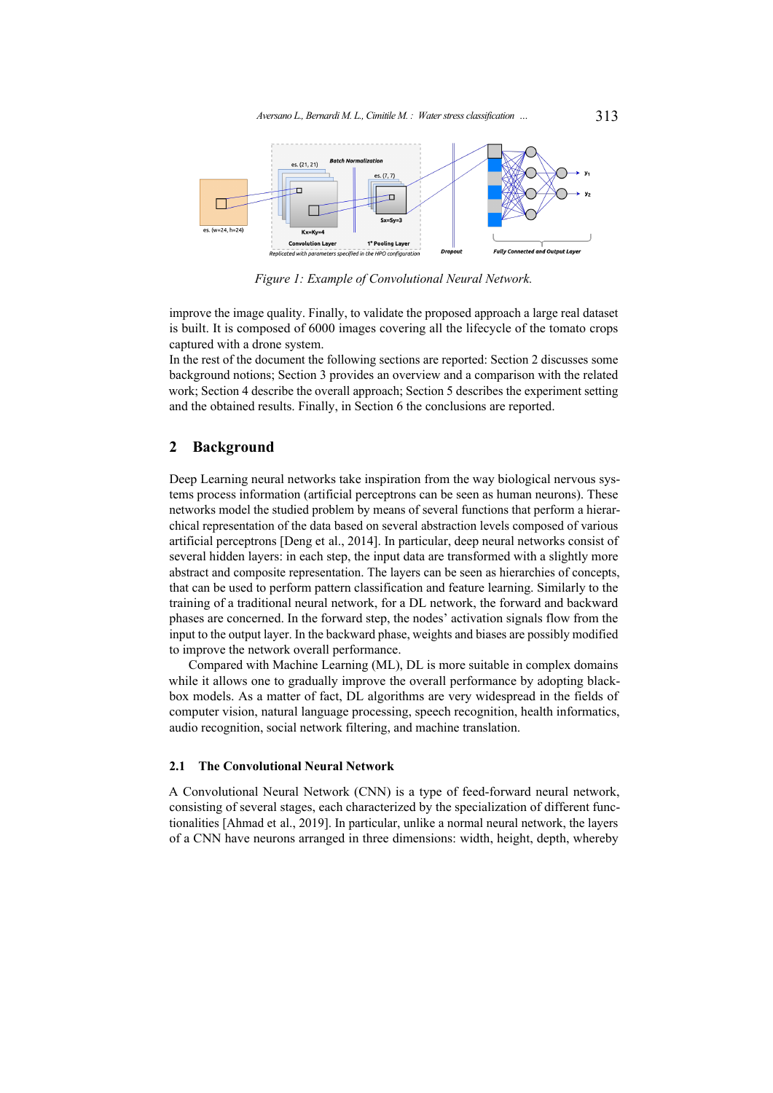<span id="page-2-1"></span>

*Figure 1: Example of Convolutional Neural Network.*

improve the image quality. Finally, to validate the proposed approach a large real dataset is built. It is composed of 6000 images covering all the lifecycle of the tomato crops captured with a drone system.

In the rest of the document the following sections are reported: Section [2](#page-2-0) discusses some background notions; Section [3](#page-5-0) provides an overview and a comparison with the related work; Section [4](#page-7-0) describe the overall approach; Section [5](#page-9-0) describes the experiment setting and the obtained results. Finally, in Section [6](#page-14-0) the conclusions are reported.

## <span id="page-2-0"></span>**2 Background**

Deep Learning neural networks take inspiration from the way biological nervous systems process information (artificial perceptrons can be seen as human neurons). These networks model the studied problem by means of several functions that perform a hierarchical representation of the data based on several abstraction levels composed of various artificial perceptrons [\[Deng et al., 2014\]](#page-15-5). In particular, deep neural networks consist of several hidden layers: in each step, the input data are transformed with a slightly more abstract and composite representation. The layers can be seen as hierarchies of concepts, that can be used to perform pattern classification and feature learning. Similarly to the training of a traditional neural network, for a DL network, the forward and backward phases are concerned. In the forward step, the nodes' activation signals flow from the input to the output layer. In the backward phase, weights and biases are possibly modified to improve the network overall performance.

Compared with Machine Learning (ML), DL is more suitable in complex domains while it allows one to gradually improve the overall performance by adopting blackbox models. As a matter of fact, DL algorithms are very widespread in the fields of computer vision, natural language processing, speech recognition, health informatics, audio recognition, social network filtering, and machine translation.

## **2.1 The Convolutional Neural Network**

A Convolutional Neural Network (CNN) is a type of feed-forward neural network, consisting of several stages, each characterized by the specialization of different functionalities [\[Ahmad et al., 2019\]](#page-15-6). In particular, unlike a normal neural network, the layers of a CNN have neurons arranged in three dimensions: width, height, depth, whereby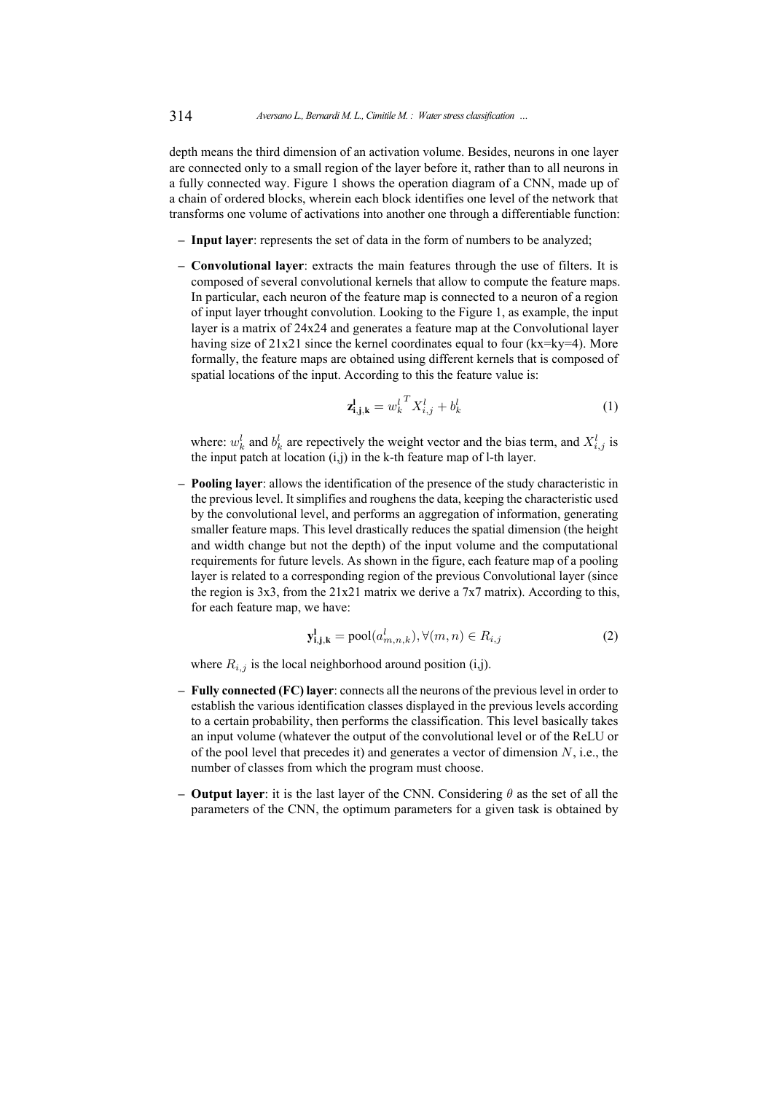depth means the third dimension of an activation volume. Besides, neurons in one layer are connected only to a small region of the layer before it, rather than to all neurons in a fully connected way. Figure [1](#page-2-1) shows the operation diagram of a CNN, made up of a chain of ordered blocks, wherein each block identifies one level of the network that transforms one volume of activations into another one through a differentiable function:

- **– Input layer**: represents the set of data in the form of numbers to be analyzed;
- **– Convolutional layer**: extracts the main features through the use of filters. It is composed of several convolutional kernels that allow to compute the feature maps. In particular, each neuron of the feature map is connected to a neuron of a region of input layer trhought convolution. Looking to the Figure [1,](#page-2-1) as example, the input layer is a matrix of 24x24 and generates a feature map at the Convolutional layer having size of  $21x21$  since the kernel coordinates equal to four ( $kx=ky=4$ ). More formally, the feature maps are obtained using different kernels that is composed of spatial locations of the input. According to this the feature value is:

$$
\mathbf{z}_{i,j,k}^l = w_k^l \mathbf{X}_{i,j}^l + b_k^l \tag{1}
$$

where:  $w_k^l$  and  $b_k^l$  are repectively the weight vector and the bias term, and  $X_{i,j}^l$  is the input patch at location (i,j) in the k-th feature map of l-th layer.

**– Pooling layer**: allows the identification of the presence of the study characteristic in the previous level. It simplifies and roughens the data, keeping the characteristic used by the convolutional level, and performs an aggregation of information, generating smaller feature maps. This level drastically reduces the spatial dimension (the height and width change but not the depth) of the input volume and the computational requirements for future levels. As shown in the figure, each feature map of a pooling layer is related to a corresponding region of the previous Convolutional layer (since the region is 3x3, from the 21x21 matrix we derive a 7x7 matrix). According to this, for each feature map, we have:

$$
\mathbf{y}_{\mathbf{i}, \mathbf{j}, \mathbf{k}}^{\mathbf{l}} = \text{pool}(a_{m, n, k}^{l}), \forall (m, n) \in R_{i, j}
$$
 (2)

where  $R_{i,j}$  is the local neighborhood around position (i,j).

- **– Fully connected (FC) layer**: connects all the neurons of the previous level in order to establish the various identification classes displayed in the previous levels according to a certain probability, then performs the classification. This level basically takes an input volume (whatever the output of the convolutional level or of the ReLU or of the pool level that precedes it) and generates a vector of dimension  $N$ , i.e., the number of classes from which the program must choose.
- **– Output layer**: it is the last layer of the CNN. Considering θ as the set of all the parameters of the CNN, the optimum parameters for a given task is obtained by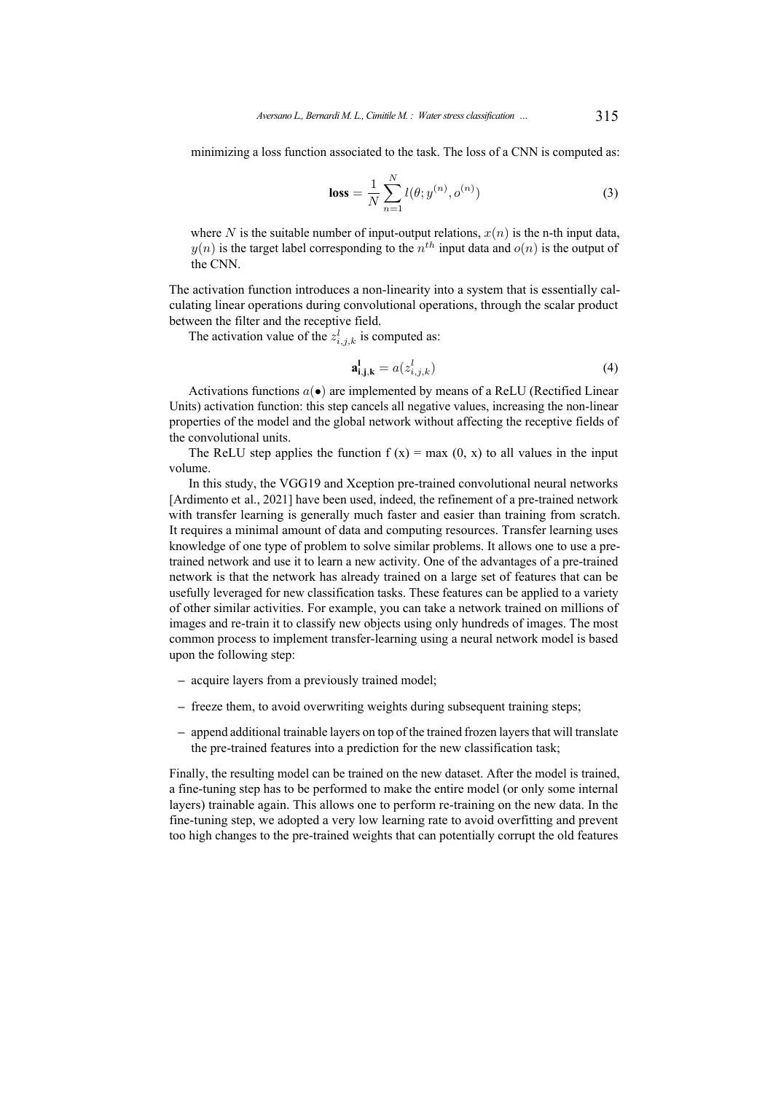minimizing a loss function associated to the task. The loss of a CNN is computed as:

$$
\text{loss} = \frac{1}{N} \sum_{n=1}^{N} l(\theta; y^{(n)}, o^{(n)}) \tag{3}
$$

where N is the suitable number of input-output relations,  $x(n)$  is the n-th input data,  $y(n)$  is the target label corresponding to the  $n<sup>th</sup>$  input data and  $o(n)$  is the output of the CNN.

The activation function introduces a non-linearity into a system that is essentially calculating linear operations during convolutional operations, through the scalar product between the filter and the receptive field.

The activation value of the  $z_{i,j,k}^l$  is computed as:

$$
\mathbf{a}_{i,j,k}^{\mathbf{l}} = a(z_{i,j,k}^l) \tag{4}
$$

Activations functions  $a(\bullet)$  are implemented by means of a ReLU (Rectified Linear Units) activation function: this step cancels all negative values, increasing the non-linear properties of the model and the global network without affecting the receptive fields of the convolutional units.

The ReLU step applies the function  $f(x) = max(0, x)$  to all values in the input volume.

In this study, the VGG19 and Xception pre-trained convolutional neural networks [\[Ardimento et al., 2021\]](#page-15-7) have been used, indeed, the refinement of a pre-trained network with transfer learning is generally much faster and easier than training from scratch. It requires a minimal amount of data and computing resources. Transfer learning uses knowledge of one type of problem to solve similar problems. It allows one to use a pretrained network and use it to learn a new activity. One of the advantages of a pre-trained network is that the network has already trained on a large set of features that can be usefully leveraged for new classification tasks. These features can be applied to a variety of other similar activities. For example, you can take a network trained on millions of images and re-train it to classify new objects using only hundreds of images. The most common process to implement transfer-learning using a neural network model is based upon the following step:

- **–** acquire layers from a previously trained model;
- **–** freeze them, to avoid overwriting weights during subsequent training steps;
- **–** append additional trainable layers on top of the trained frozen layers that will translate the pre-trained features into a prediction for the new classification task;

Finally, the resulting model can be trained on the new dataset. After the model is trained, a fine-tuning step has to be performed to make the entire model (or only some internal layers) trainable again. This allows one to perform re-training on the new data. In the fine-tuning step, we adopted a very low learning rate to avoid overfitting and prevent too high changes to the pre-trained weights that can potentially corrupt the old features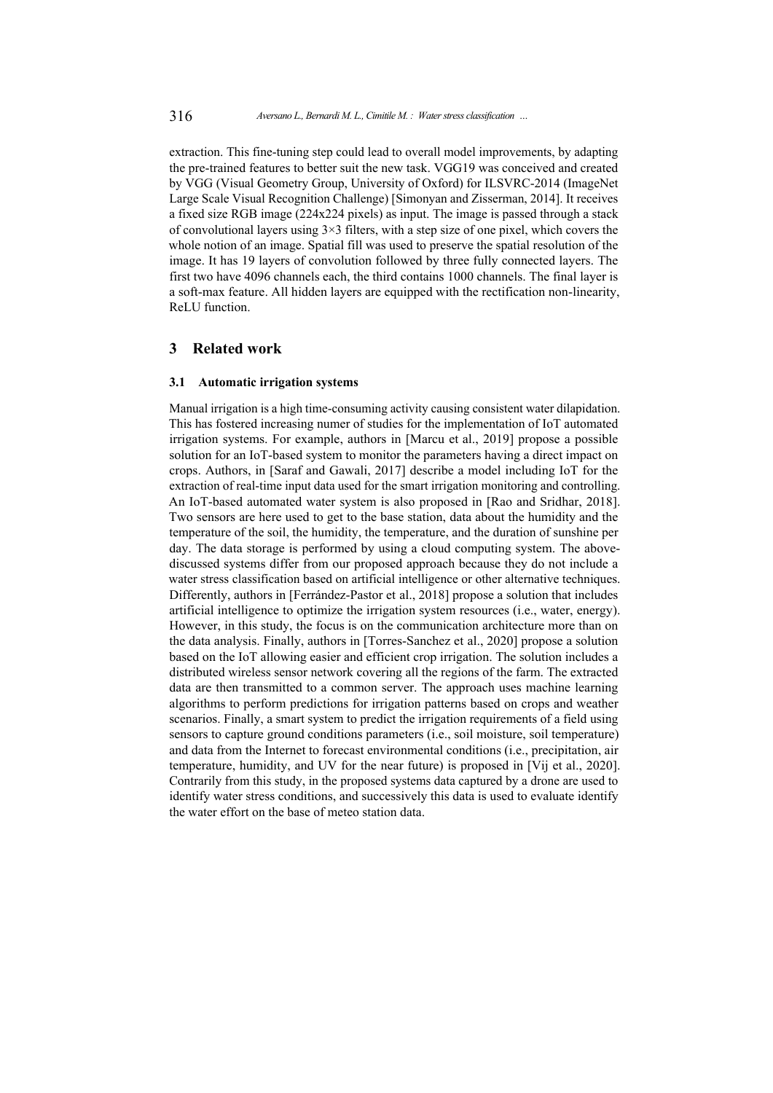extraction. This fine-tuning step could lead to overall model improvements, by adapting the pre-trained features to better suit the new task. VGG19 was conceived and created by VGG (Visual Geometry Group, University of Oxford) for ILSVRC-2014 (ImageNet Large Scale Visual Recognition Challenge) [\[Simonyan and Zisserman, 2014\]](#page-16-5). It receives a fixed size RGB image (224x224 pixels) as input. The image is passed through a stack of convolutional layers using  $3\times3$  filters, with a step size of one pixel, which covers the whole notion of an image. Spatial fill was used to preserve the spatial resolution of the image. It has 19 layers of convolution followed by three fully connected layers. The first two have 4096 channels each, the third contains 1000 channels. The final layer is a soft-max feature. All hidden layers are equipped with the rectification non-linearity, ReLU function.

## <span id="page-5-0"></span>**3 Related work**

### **3.1 Automatic irrigation systems**

Manual irrigation is a high time-consuming activity causing consistent water dilapidation. This has fostered increasing numer of studies for the implementation of IoT automated irrigation systems. For example, authors in [\[Marcu et al., 2019\]](#page-16-6) propose a possible solution for an IoT-based system to monitor the parameters having a direct impact on crops. Authors, in [\[Saraf and Gawali, 2017\]](#page-16-7) describe a model including IoT for the extraction of real-time input data used for the smart irrigation monitoring and controlling. An IoT-based automated water system is also proposed in [\[Rao and Sridhar, 2018\]](#page-16-8). Two sensors are here used to get to the base station, data about the humidity and the temperature of the soil, the humidity, the temperature, and the duration of sunshine per day. The data storage is performed by using a cloud computing system. The abovediscussed systems differ from our proposed approach because they do not include a water stress classification based on artificial intelligence or other alternative techniques. Differently, authors in [\[Ferrández-Pastor et al., 2018\]](#page-15-8) propose a solution that includes artificial intelligence to optimize the irrigation system resources (i.e., water, energy). However, in this study, the focus is on the communication architecture more than on the data analysis. Finally, authors in [\[Torres-Sanchez et al., 2020\]](#page-17-1) propose a solution based on the IoT allowing easier and efficient crop irrigation. The solution includes a distributed wireless sensor network covering all the regions of the farm. The extracted data are then transmitted to a common server. The approach uses machine learning algorithms to perform predictions for irrigation patterns based on crops and weather scenarios. Finally, a smart system to predict the irrigation requirements of a field using sensors to capture ground conditions parameters (i.e., soil moisture, soil temperature) and data from the Internet to forecast environmental conditions (i.e., precipitation, air temperature, humidity, and UV for the near future) is proposed in [\[Vij et al., 2020\]](#page-17-2). Contrarily from this study, in the proposed systems data captured by a drone are used to identify water stress conditions, and successively this data is used to evaluate identify the water effort on the base of meteo station data.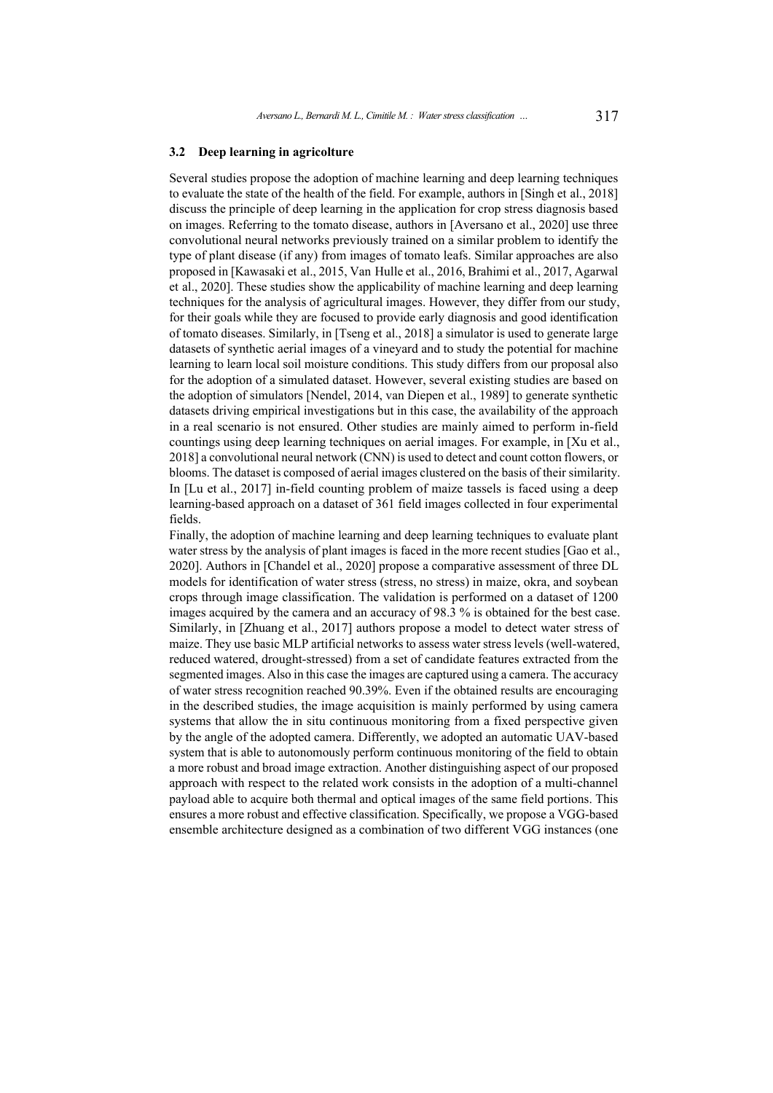#### **3.2 Deep learning in agricolture**

Several studies propose the adoption of machine learning and deep learning techniques to evaluate the state of the health of the field. For example, authors in [\[Singh et al., 2018\]](#page-16-9) discuss the principle of deep learning in the application for crop stress diagnosis based on images. Referring to the tomato disease, authors in [\[Aversano et al., 2020\]](#page-15-9) use three convolutional neural networks previously trained on a similar problem to identify the type of plant disease (if any) from images of tomato leafs. Similar approaches are also proposed in [\[Kawasaki et al., 2015,](#page-16-10) [Van Hulle et al., 2016,](#page-17-3) [Brahimi et al., 2017,](#page-15-10) [Agarwal](#page-15-11) [et al., 2020\]](#page-15-11). These studies show the applicability of machine learning and deep learning techniques for the analysis of agricultural images. However, they differ from our study, for their goals while they are focused to provide early diagnosis and good identification of tomato diseases. Similarly, in [\[Tseng et al., 2018\]](#page-17-4) a simulator is used to generate large datasets of synthetic aerial images of a vineyard and to study the potential for machine learning to learn local soil moisture conditions. This study differs from our proposal also for the adoption of a simulated dataset. However, several existing studies are based on the adoption of simulators [\[Nendel, 2014,](#page-16-11) [van Diepen et al., 1989\]](#page-17-5) to generate synthetic datasets driving empirical investigations but in this case, the availability of the approach in a real scenario is not ensured. Other studies are mainly aimed to perform in-field countings using deep learning techniques on aerial images. For example, in [\[Xu et al.,](#page-17-6) [2018\]](#page-17-6) a convolutional neural network (CNN) is used to detect and count cotton flowers, or blooms. The dataset is composed of aerial images clustered on the basis of their similarity. In [\[Lu et al., 2017\]](#page-16-12) in-field counting problem of maize tassels is faced using a deep learning-based approach on a dataset of 361 field images collected in four experimental fields.

Finally, the adoption of machine learning and deep learning techniques to evaluate plant water stress by the analysis of plant images is faced in the more recent studies [\[Gao et al.,](#page-15-3) [2020\]](#page-15-3). Authors in [\[Chandel et al., 2020\]](#page-15-2) propose a comparative assessment of three DL models for identification of water stress (stress, no stress) in maize, okra, and soybean crops through image classification. The validation is performed on a dataset of 1200 images acquired by the camera and an accuracy of 98.3 % is obtained for the best case. Similarly, in [\[Zhuang et al., 2017\]](#page-17-0) authors propose a model to detect water stress of maize. They use basic MLP artificial networks to assess water stress levels (well-watered, reduced watered, drought-stressed) from a set of candidate features extracted from the segmented images. Also in this case the images are captured using a camera. The accuracy of water stress recognition reached 90.39%. Even if the obtained results are encouraging in the described studies, the image acquisition is mainly performed by using camera systems that allow the in situ continuous monitoring from a fixed perspective given by the angle of the adopted camera. Differently, we adopted an automatic UAV-based system that is able to autonomously perform continuous monitoring of the field to obtain a more robust and broad image extraction. Another distinguishing aspect of our proposed approach with respect to the related work consists in the adoption of a multi-channel payload able to acquire both thermal and optical images of the same field portions. This ensures a more robust and effective classification. Specifically, we propose a VGG-based ensemble architecture designed as a combination of two different VGG instances (one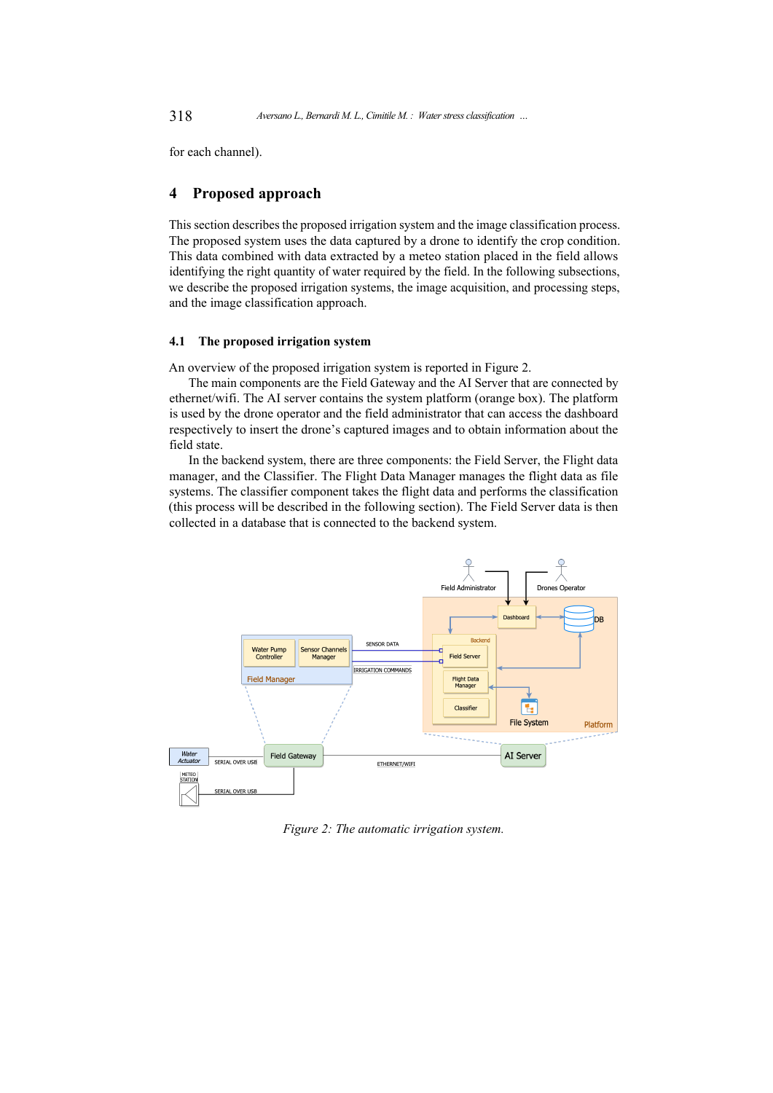<span id="page-7-0"></span>for each channel).

## **4 Proposed approach**

This section describes the proposed irrigation system and the image classification process. The proposed system uses the data captured by a drone to identify the crop condition. This data combined with data extracted by a meteo station placed in the field allows identifying the right quantity of water required by the field. In the following subsections, we describe the proposed irrigation systems, the image acquisition, and processing steps, and the image classification approach.

### **4.1 The proposed irrigation system**

An overview of the proposed irrigation system is reported in Figure [2.](#page-7-1)

The main components are the Field Gateway and the AI Server that are connected by ethernet/wifi. The AI server contains the system platform (orange box). The platform is used by the drone operator and the field administrator that can access the dashboard respectively to insert the drone's captured images and to obtain information about the field state.

In the backend system, there are three components: the Field Server, the Flight data manager, and the Classifier. The Flight Data Manager manages the flight data as file systems. The classifier component takes the flight data and performs the classification (this process will be described in the following section). The Field Server data is then collected in a database that is connected to the backend system.

<span id="page-7-1"></span>

*Figure 2: The automatic irrigation system.*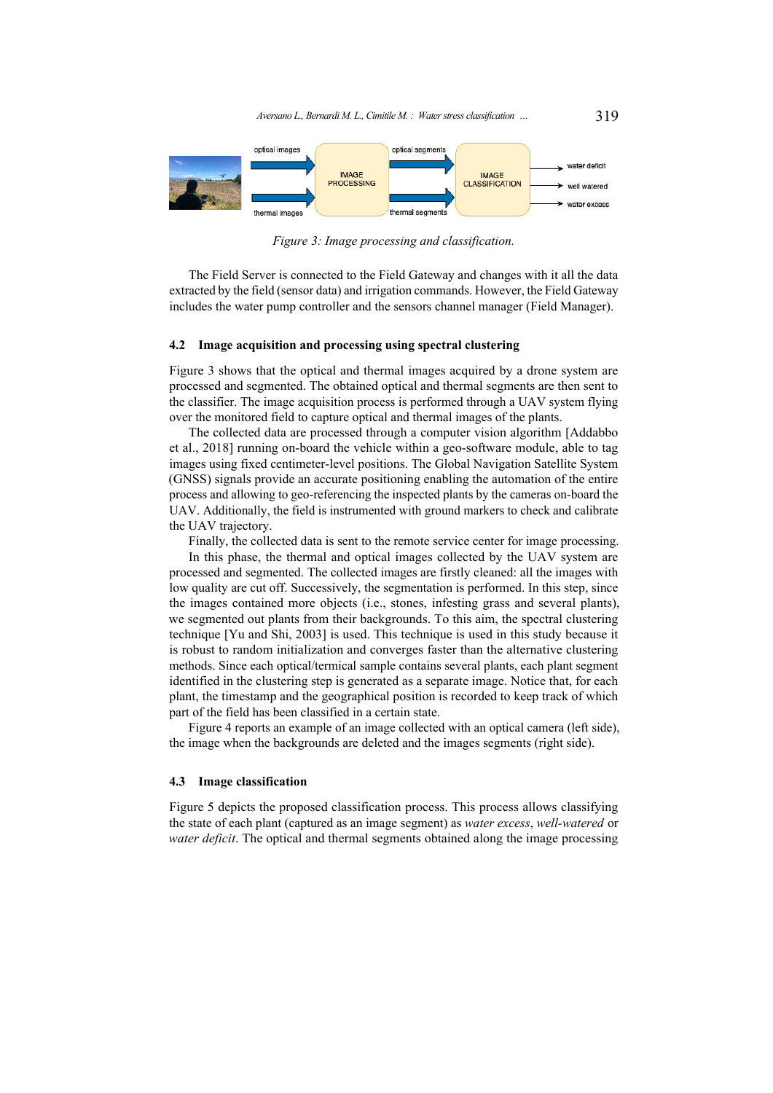*Aversano L., Bernardi M. L., Cimitile M. : Water stress classification …* 319

<span id="page-8-0"></span>

*Figure 3: Image processing and classification.*

The Field Server is connected to the Field Gateway and changes with it all the data extracted by the field (sensor data) and irrigation commands. However, the Field Gateway includes the water pump controller and the sensors channel manager (Field Manager).

#### **4.2 Image acquisition and processing using spectral clustering**

Figure [3](#page-8-0) shows that the optical and thermal images acquired by a drone system are processed and segmented. The obtained optical and thermal segments are then sent to the classifier. The image acquisition process is performed through a UAV system flying over the monitored field to capture optical and thermal images of the plants.

The collected data are processed through a computer vision algorithm [\[Addabbo](#page-15-12) [et al., 2018\]](#page-15-12) running on-board the vehicle within a geo-software module, able to tag images using fixed centimeter-level positions. The Global Navigation Satellite System (GNSS) signals provide an accurate positioning enabling the automation of the entire process and allowing to geo-referencing the inspected plants by the cameras on-board the UAV. Additionally, the field is instrumented with ground markers to check and calibrate the UAV trajectory.

Finally, the collected data is sent to the remote service center for image processing.

In this phase, the thermal and optical images collected by the UAV system are processed and segmented. The collected images are firstly cleaned: all the images with low quality are cut off. Successively, the segmentation is performed. In this step, since the images contained more objects (i.e., stones, infesting grass and several plants), we segmented out plants from their backgrounds. To this aim, the spectral clustering technique [\[Yu and Shi, 2003\]](#page-17-7) is used. This technique is used in this study because it is robust to random initialization and converges faster than the alternative clustering methods. Since each optical/termical sample contains several plants, each plant segment identified in the clustering step is generated as a separate image. Notice that, for each plant, the timestamp and the geographical position is recorded to keep track of which part of the field has been classified in a certain state.

Figure [4](#page-9-1) reports an example of an image collected with an optical camera (left side), the image when the backgrounds are deleted and the images segments (right side).

#### **4.3 Image classification**

Figure [5](#page-9-2) depicts the proposed classification process. This process allows classifying the state of each plant (captured as an image segment) as *water excess*, *well-watered* or *water deficit*. The optical and thermal segments obtained along the image processing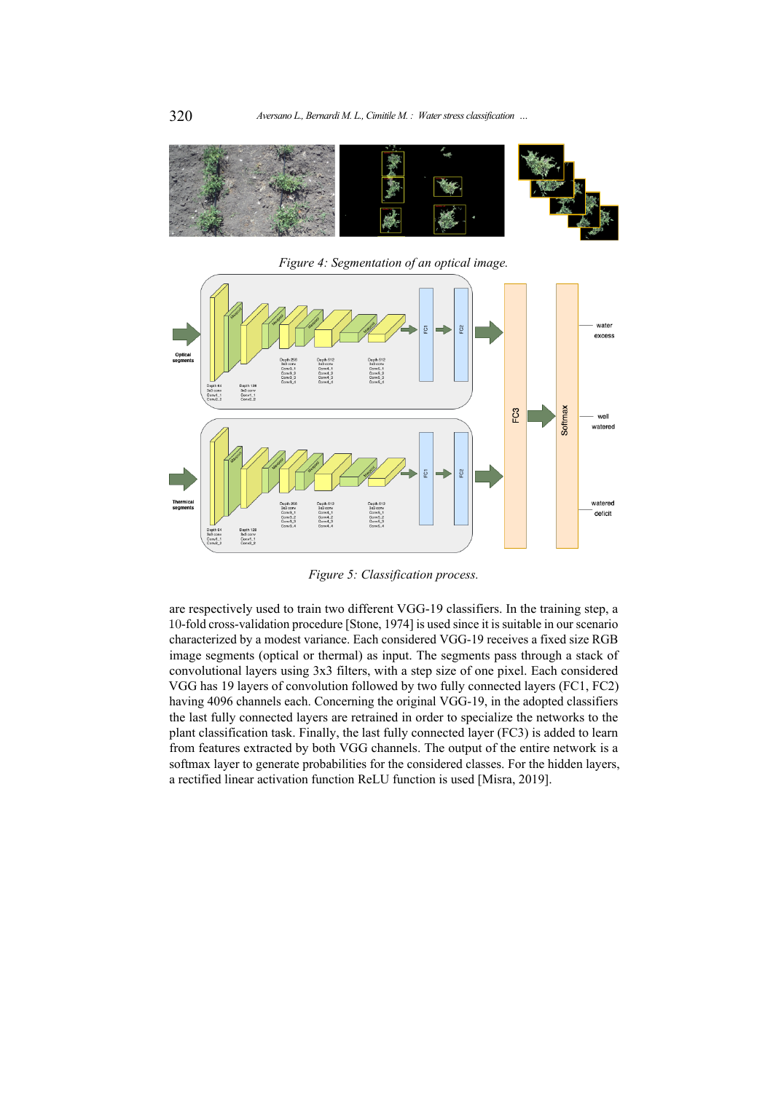<span id="page-9-1"></span>

*Figure 4: Segmentation of an optical image.*

<span id="page-9-2"></span>

*Figure 5: Classification process.*

<span id="page-9-0"></span>are respectively used to train two different VGG-19 classifiers. In the training step, a 10-fold cross-validation procedure [\[Stone, 1974\]](#page-16-13) is used since it is suitable in our scenario characterized by a modest variance. Each considered VGG-19 receives a fixed size RGB image segments (optical or thermal) as input. The segments pass through a stack of convolutional layers using 3x3 filters, with a step size of one pixel. Each considered VGG has 19 layers of convolution followed by two fully connected layers (FC1, FC2) having 4096 channels each. Concerning the original VGG-19, in the adopted classifiers the last fully connected layers are retrained in order to specialize the networks to the plant classification task. Finally, the last fully connected layer (FC3) is added to learn from features extracted by both VGG channels. The output of the entire network is a softmax layer to generate probabilities for the considered classes. For the hidden layers, a rectified linear activation function ReLU function is used [\[Misra, 2019\]](#page-16-14).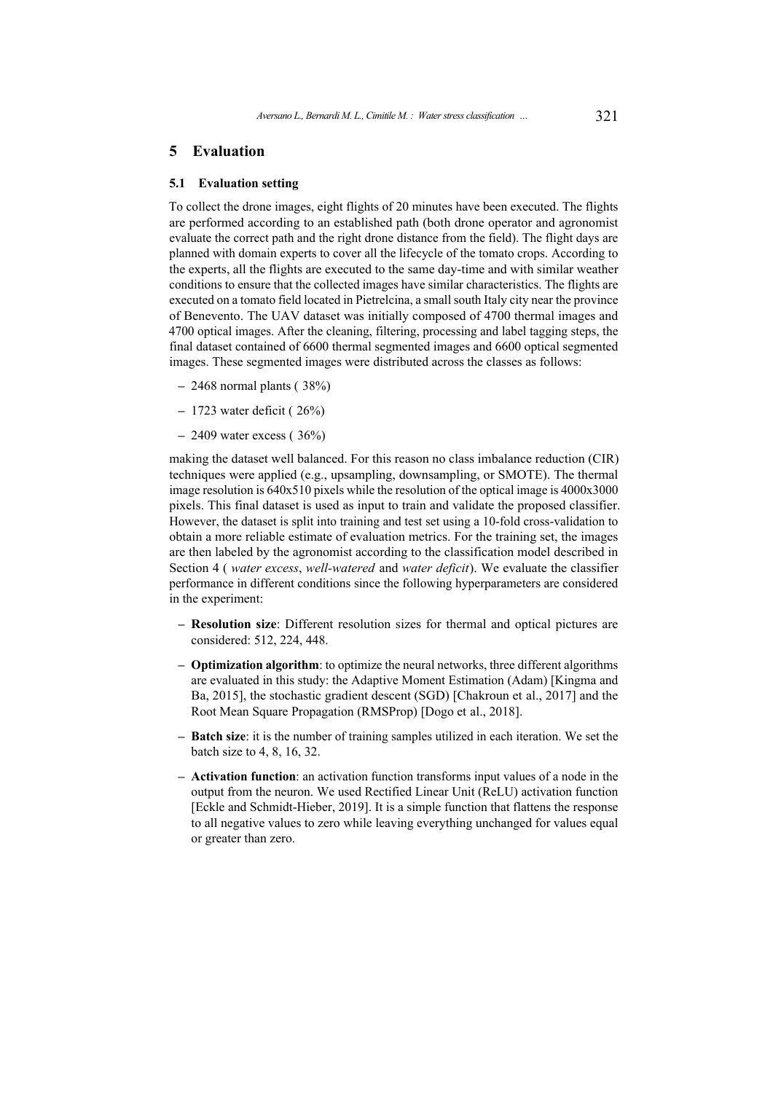## **5 Evaluation**

### **5.1 Evaluation setting**

To collect the drone images, eight flights of 20 minutes have been executed. The flights are performed according to an established path (both drone operator and agronomist evaluate the correct path and the right drone distance from the field). The flight days are planned with domain experts to cover all the lifecycle of the tomato crops. According to the experts, all the flights are executed to the same day-time and with similar weather conditions to ensure that the collected images have similar characteristics. The flights are executed on a tomato field located in Pietrelcina, a small south Italy city near the province of Benevento. The UAV dataset was initially composed of 4700 thermal images and 4700 optical images. After the cleaning, filtering, processing and label tagging steps, the final dataset contained of 6600 thermal segmented images and 6600 optical segmented images. These segmented images were distributed across the classes as follows:

- **–** 2468 normal plants ( 38%)
- **–** 1723 water deficit ( 26%)
- **–** 2409 water excess ( 36%)

making the dataset well balanced. For this reason no class imbalance reduction (CIR) techniques were applied (e.g., upsampling, downsampling, or SMOTE). The thermal image resolution is 640x510 pixels while the resolution of the optical image is 4000x3000 pixels. This final dataset is used as input to train and validate the proposed classifier. However, the dataset is split into training and test set using a 10-fold cross-validation to obtain a more reliable estimate of evaluation metrics. For the training set, the images are then labeled by the agronomist according to the classification model described in Section [4](#page-7-0) ( *water excess*, *well-watered* and *water deficit*). We evaluate the classifier performance in different conditions since the following hyperparameters are considered in the experiment:

- **– Resolution size**: Different resolution sizes for thermal and optical pictures are considered: 512, 224, 448.
- **– Optimization algorithm**: to optimize the neural networks, three different algorithms are evaluated in this study: the Adaptive Moment Estimation (Adam) [\[Kingma and](#page-16-15) [Ba, 2015\]](#page-16-15), the stochastic gradient descent (SGD) [\[Chakroun et al., 2017\]](#page-15-13) and the Root Mean Square Propagation (RMSProp) [\[Dogo et al., 2018\]](#page-15-14).
- **– Batch size**: it is the number of training samples utilized in each iteration. We set the batch size to 4, 8, 16, 32.
- **– Activation function**: an activation function transforms input values of a node in the output from the neuron. We used Rectified Linear Unit (ReLU) activation function [\[Eckle and Schmidt-Hieber, 2019\]](#page-15-15). It is a simple function that flattens the response to all negative values to zero while leaving everything unchanged for values equal or greater than zero.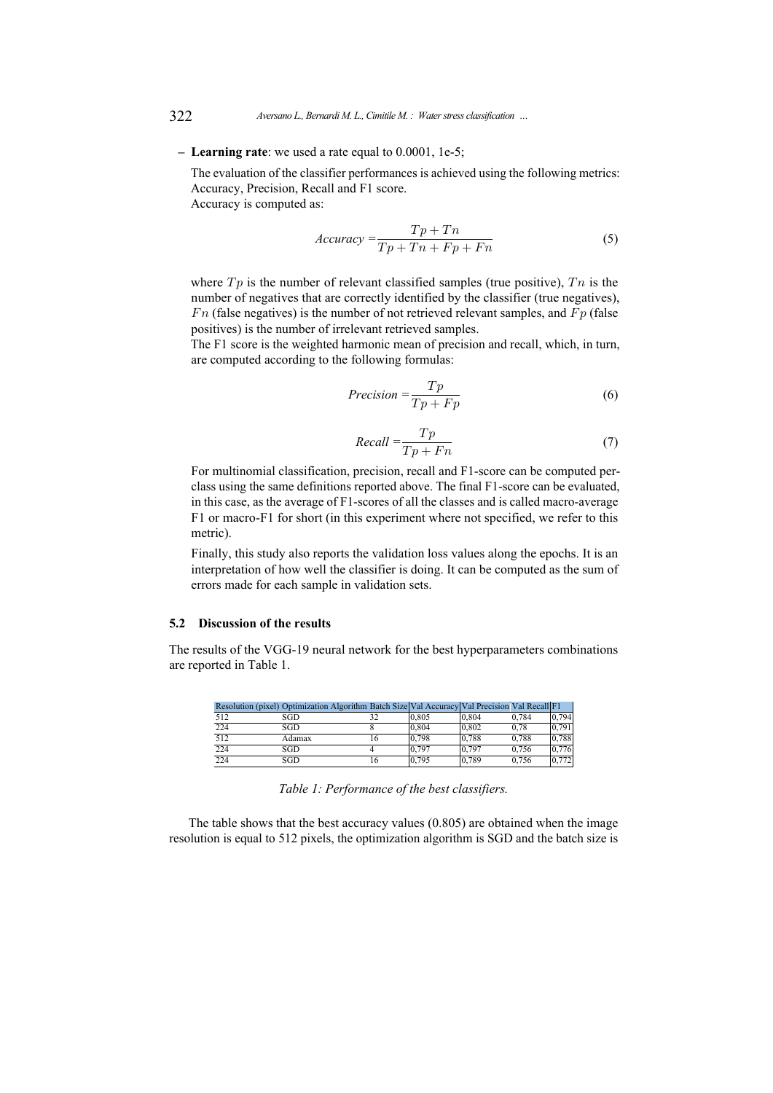#### **– Learning rate**: we used a rate equal to 0.0001, 1e-5;

The evaluation of the classifier performances is achieved using the following metrics: Accuracy, Precision, Recall and F1 score.

Accuracy is computed as:

$$
Accuracy = \frac{Tp + Tn}{Tp + Tn + Fp + Fn}
$$
\n(5)

where  $Tp$  is the number of relevant classified samples (true positive),  $T_n$  is the number of negatives that are correctly identified by the classifier (true negatives),  $Fn$  (false negatives) is the number of not retrieved relevant samples, and  $Fn$  (false positives) is the number of irrelevant retrieved samples.

The F1 score is the weighted harmonic mean of precision and recall, which, in turn, are computed according to the following formulas:

$$
Precision = \frac{Tp}{Tp + Fp} \tag{6}
$$

$$
Recall = \frac{Tp}{Tp + Fn} \tag{7}
$$

For multinomial classification, precision, recall and F1-score can be computed perclass using the same definitions reported above. The final F1-score can be evaluated, in this case, as the average of F1-scores of all the classes and is called macro-average F1 or macro-F1 for short (in this experiment where not specified, we refer to this metric).

Finally, this study also reports the validation loss values along the epochs. It is an interpretation of how well the classifier is doing. It can be computed as the sum of errors made for each sample in validation sets.

## **5.2 Discussion of the results**

The results of the VGG-19 neural network for the best hyperparameters combinations are reported in Table [1.](#page-11-0)

<span id="page-11-0"></span>

|      | Resolution (pixel) Optimization Algorithm Batch Size Val Accuracy Val Precision Val Recall F1 |    |       |       |       |       |
|------|-----------------------------------------------------------------------------------------------|----|-------|-------|-------|-------|
| 512  | SGD                                                                                           | 32 | 0.805 | 0.804 | 0.784 | 0.794 |
| 224  | SGD                                                                                           |    | 0.804 | 0.802 | 0.78  | 0.791 |
| 512  | Adamax                                                                                        | 16 | 0.798 | 0.788 | 0.788 | 0.788 |
| 1224 | SGD                                                                                           |    | 0.797 | 0.797 | 0.756 | 0.776 |
| 224  | SGD                                                                                           | 16 | 0,795 | 0,789 | 0.756 | 0,772 |

*Table 1: Performance of the best classifiers.*

The table shows that the best accuracy values (0.805) are obtained when the image resolution is equal to 512 pixels, the optimization algorithm is SGD and the batch size is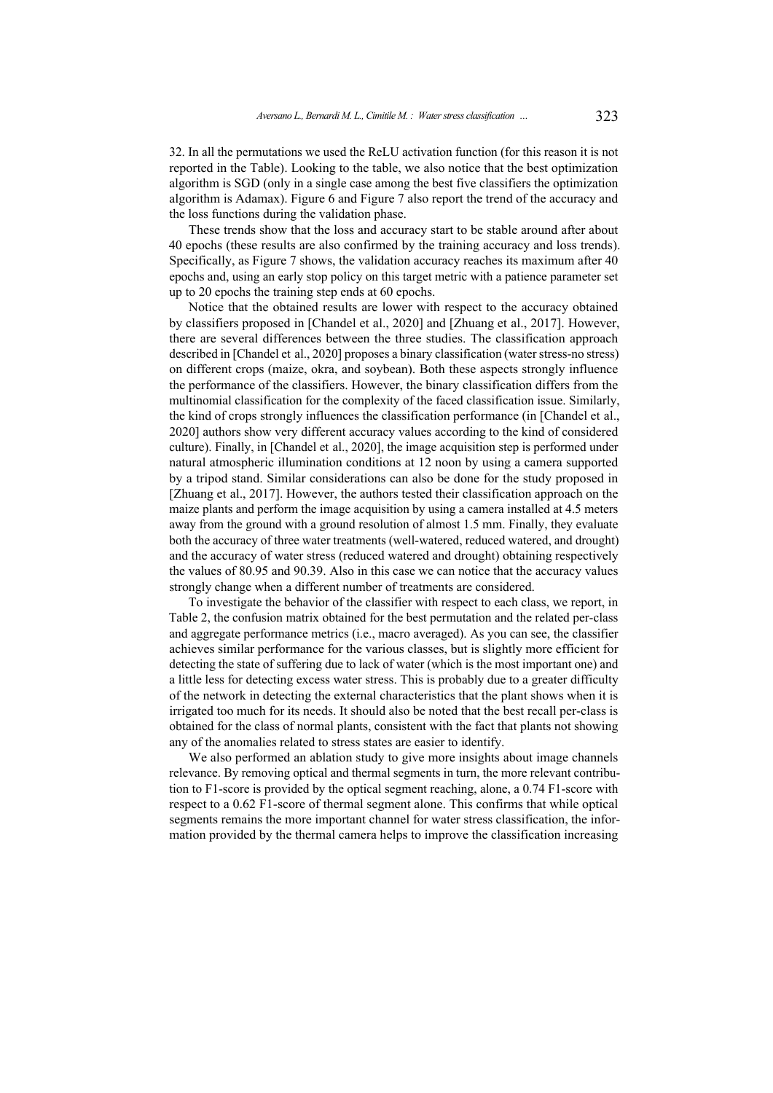32. In all the permutations we used the ReLU activation function (for this reason it is not reported in the Table). Looking to the table, we also notice that the best optimization algorithm is SGD (only in a single case among the best five classifiers the optimization algorithm is Adamax). Figure [6](#page-13-0) and Figure [7](#page-14-1) also report the trend of the accuracy and the loss functions during the validation phase.

These trends show that the loss and accuracy start to be stable around after about 40 epochs (these results are also confirmed by the training accuracy and loss trends). Specifically, as Figure [7](#page-14-1) shows, the validation accuracy reaches its maximum after 40 epochs and, using an early stop policy on this target metric with a patience parameter set up to 20 epochs the training step ends at 60 epochs.

Notice that the obtained results are lower with respect to the accuracy obtained by classifiers proposed in [\[Chandel et al., 2020\]](#page-15-2) and [\[Zhuang et al., 2017\]](#page-17-0). However, there are several differences between the three studies. The classification approach described in [\[Chandel et al., 2020\]](#page-15-2) proposes a binary classification (water stress-no stress) on different crops (maize, okra, and soybean). Both these aspects strongly influence the performance of the classifiers. However, the binary classification differs from the multinomial classification for the complexity of the faced classification issue. Similarly, the kind of crops strongly influences the classification performance (in [\[Chandel et al.,](#page-15-2) [2020\]](#page-15-2) authors show very different accuracy values according to the kind of considered culture). Finally, in [\[Chandel et al., 2020\]](#page-15-2), the image acquisition step is performed under natural atmospheric illumination conditions at 12 noon by using a camera supported by a tripod stand. Similar considerations can also be done for the study proposed in [\[Zhuang et al., 2017\]](#page-17-0). However, the authors tested their classification approach on the maize plants and perform the image acquisition by using a camera installed at 4.5 meters away from the ground with a ground resolution of almost 1.5 mm. Finally, they evaluate both the accuracy of three water treatments (well-watered, reduced watered, and drought) and the accuracy of water stress (reduced watered and drought) obtaining respectively the values of 80.95 and 90.39. Also in this case we can notice that the accuracy values strongly change when a different number of treatments are considered.

To investigate the behavior of the classifier with respect to each class, we report, in Table [2,](#page-13-1) the confusion matrix obtained for the best permutation and the related per-class and aggregate performance metrics (i.e., macro averaged). As you can see, the classifier achieves similar performance for the various classes, but is slightly more efficient for detecting the state of suffering due to lack of water (which is the most important one) and a little less for detecting excess water stress. This is probably due to a greater difficulty of the network in detecting the external characteristics that the plant shows when it is irrigated too much for its needs. It should also be noted that the best recall per-class is obtained for the class of normal plants, consistent with the fact that plants not showing any of the anomalies related to stress states are easier to identify.

We also performed an ablation study to give more insights about image channels relevance. By removing optical and thermal segments in turn, the more relevant contribution to F1-score is provided by the optical segment reaching, alone, a 0.74 F1-score with respect to a 0.62 F1-score of thermal segment alone. This confirms that while optical segments remains the more important channel for water stress classification, the information provided by the thermal camera helps to improve the classification increasing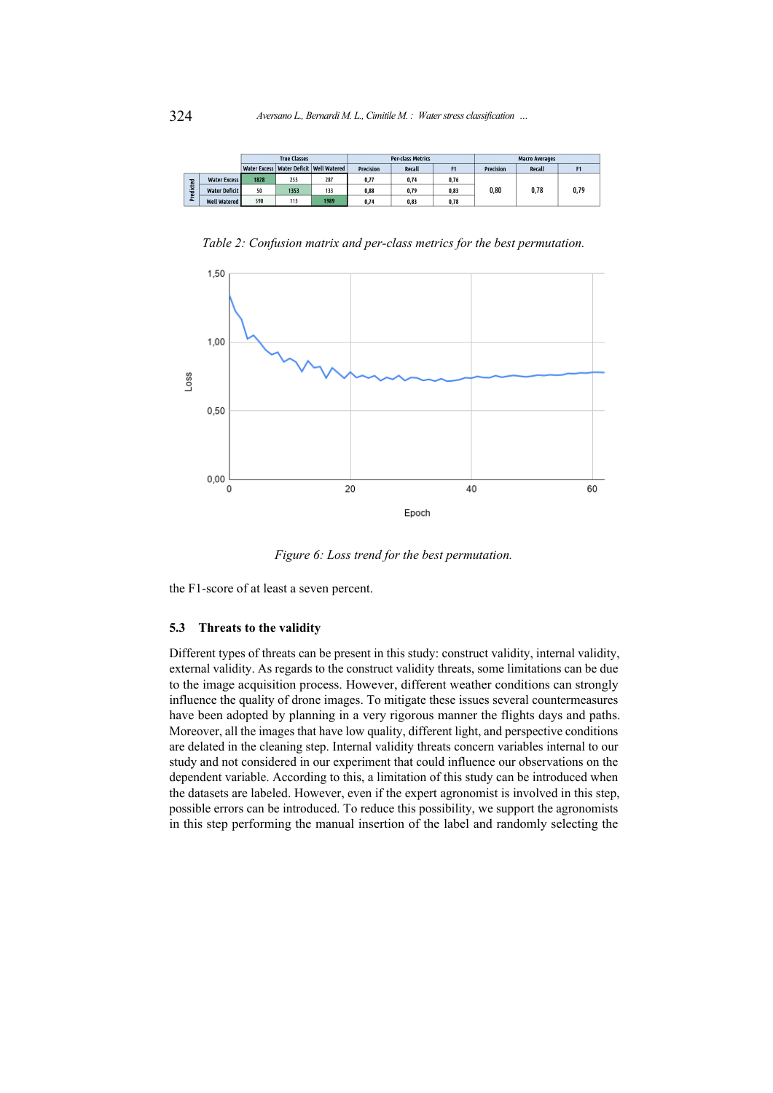<span id="page-13-1"></span>

|             |                      | <b>True Classes</b> |      |                                             | <b>Per-class Metrics</b> |        |                | <b>Macro Averages</b> |        |      |
|-------------|----------------------|---------------------|------|---------------------------------------------|--------------------------|--------|----------------|-----------------------|--------|------|
|             |                      |                     |      | Water Excess   Water Deficit   Well Watered | <b>Precision</b>         | Recall | F <sub>1</sub> | Precision             | Recall |      |
| dicted<br>٤ | <b>Water Excess</b>  | 1828                | 255  | 287                                         | 0.77                     | 0.74   | 0,76           | 0,80                  | 0,78   | 0,79 |
|             | <b>Water Deficit</b> | 50                  | 1353 | 133                                         | 0,88                     | 0,79   | 0,83           |                       |        |      |
|             | <b>Well Watered</b>  | 590                 | 115  | 1989                                        | 0.74                     | 0.83   | 0.78           |                       |        |      |

*Table 2: Confusion matrix and per-class metrics for the best permutation.*

<span id="page-13-0"></span>

*Figure 6: Loss trend for the best permutation.*

the F1-score of at least a seven percent.

## **5.3 Threats to the validity**

Different types of threats can be present in this study: construct validity, internal validity, external validity. As regards to the construct validity threats, some limitations can be due to the image acquisition process. However, different weather conditions can strongly influence the quality of drone images. To mitigate these issues several countermeasures have been adopted by planning in a very rigorous manner the flights days and paths. Moreover, all the images that have low quality, different light, and perspective conditions are delated in the cleaning step. Internal validity threats concern variables internal to our study and not considered in our experiment that could influence our observations on the dependent variable. According to this, a limitation of this study can be introduced when the datasets are labeled. However, even if the expert agronomist is involved in this step, possible errors can be introduced. To reduce this possibility, we support the agronomists in this step performing the manual insertion of the label and randomly selecting the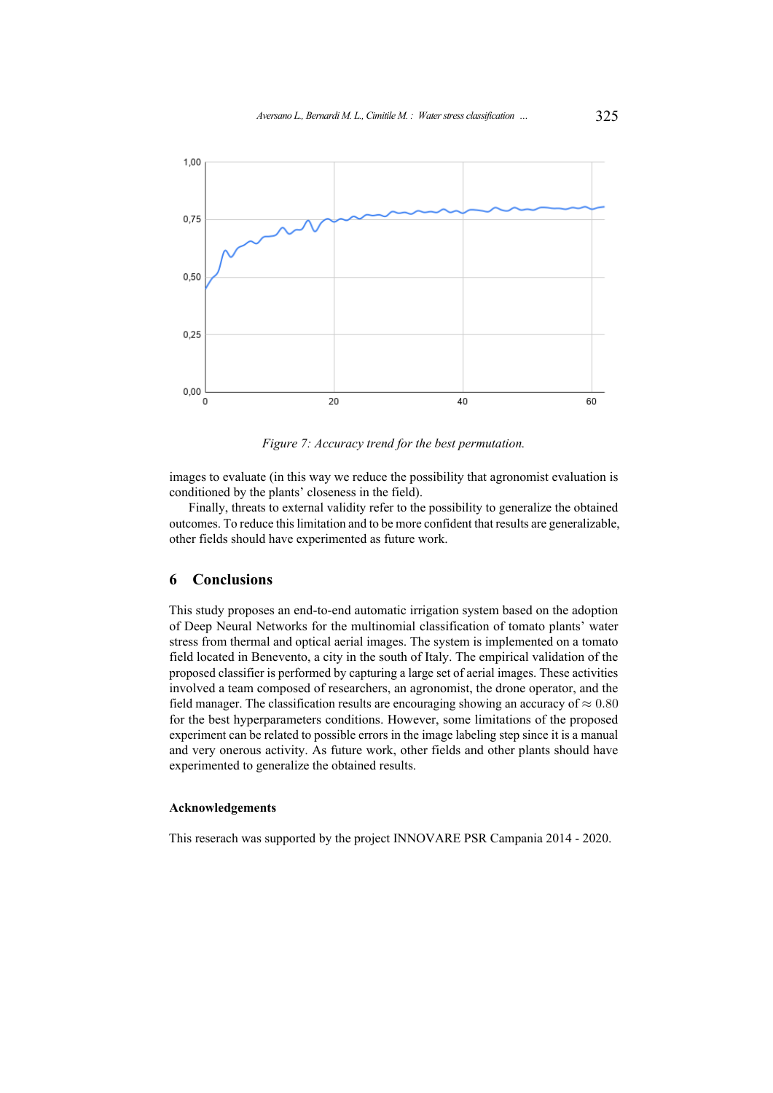<span id="page-14-1"></span>

*Figure 7: Accuracy trend for the best permutation.*

images to evaluate (in this way we reduce the possibility that agronomist evaluation is conditioned by the plants' closeness in the field).

Finally, threats to external validity refer to the possibility to generalize the obtained outcomes. To reduce this limitation and to be more confident that results are generalizable, other fields should have experimented as future work.

## <span id="page-14-0"></span>**6 Conclusions**

This study proposes an end-to-end automatic irrigation system based on the adoption of Deep Neural Networks for the multinomial classification of tomato plants' water stress from thermal and optical aerial images. The system is implemented on a tomato field located in Benevento, a city in the south of Italy. The empirical validation of the proposed classifier is performed by capturing a large set of aerial images. These activities involved a team composed of researchers, an agronomist, the drone operator, and the field manager. The classification results are encouraging showing an accuracy of  $\approx 0.80$ for the best hyperparameters conditions. However, some limitations of the proposed experiment can be related to possible errors in the image labeling step since it is a manual and very onerous activity. As future work, other fields and other plants should have experimented to generalize the obtained results.

### **Acknowledgements**

This reserach was supported by the project INNOVARE PSR Campania 2014 - 2020.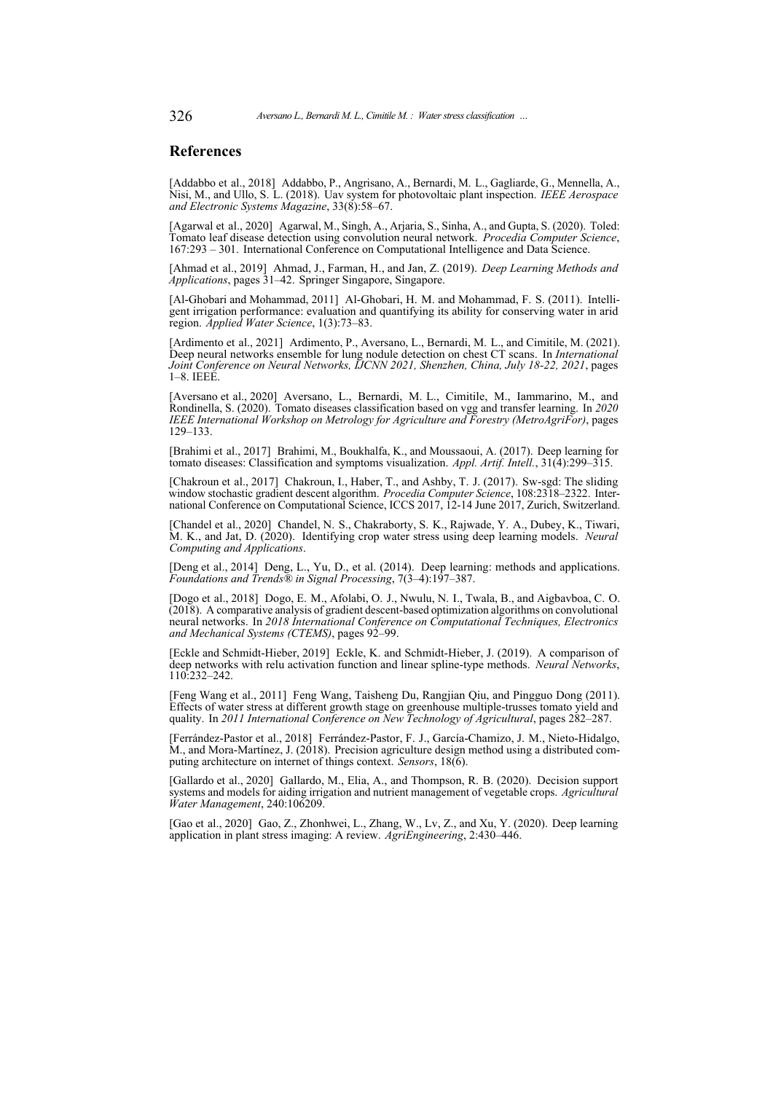### **References**

<span id="page-15-12"></span>[Addabbo et al., 2018] Addabbo, P., Angrisano, A., Bernardi, M. L., Gagliarde, G., Mennella, A., Nisi, M., and Ullo, S. L. (2018). Uav system for photovoltaic plant inspection. *IEEE Aerospace and Electronic Systems Magazine*, 33(8):58–67.

<span id="page-15-11"></span>[Agarwal et al., 2020] Agarwal, M., Singh, A., Arjaria, S., Sinha, A., and Gupta, S. (2020). Toled: Tomato leaf disease detection using convolution neural network. *Procedia Computer Science*, 167:293 – 301. International Conference on Computational Intelligence and Data Science.

<span id="page-15-6"></span>[Ahmad et al., 2019] Ahmad, J., Farman, H., and Jan, Z. (2019). *Deep Learning Methods and Applications*, pages 31–42. Springer Singapore, Singapore.

<span id="page-15-0"></span>[Al-Ghobari and Mohammad, 2011] Al-Ghobari, H. M. and Mohammad, F. S. (2011). Intelligent irrigation performance: evaluation and quantifying its ability for conserving water in arid region. *Applied Water Science*, 1(3):73–83.

<span id="page-15-7"></span>[Ardimento et al., 2021] Ardimento, P., Aversano, L., Bernardi, M. L., and Cimitile, M. (2021). Deep neural networks ensemble for lung nodule detection on chest CT scans. In *International Joint Conference on Neural Networks, IJCNN 2021, Shenzhen, China, July 18-22, 2021*, pages 1–8. IEEE.

<span id="page-15-9"></span>[Aversano et al., 2020] Aversano, L., Bernardi, M. L., Cimitile, M., Iammarino, M., and Rondinella, S. (2020). Tomato diseases classification based on vgg and transfer learning. In *2020 IEEE International Workshop on Metrology for Agriculture and Forestry (MetroAgriFor)*, pages 129–133.

<span id="page-15-10"></span>[Brahimi et al., 2017] Brahimi, M., Boukhalfa, K., and Moussaoui, A. (2017). Deep learning for tomato diseases: Classification and symptoms visualization. *Appl. Artif. Intell.*, 31(4):299–315.

<span id="page-15-13"></span>[Chakroun et al., 2017] Chakroun, I., Haber, T., and Ashby, T. J. (2017). Sw-sgd: The sliding window stochastic gradient descent algorithm. *Procedia Computer Science*, 108:2318–2322. International Conference on Computational Science, ICCS 2017, 12-14 June 2017, Zurich, Switzerland.

<span id="page-15-2"></span>[Chandel et al., 2020] Chandel, N. S., Chakraborty, S. K., Rajwade, Y. A., Dubey, K., Tiwari, M. K., and Jat, D. (2020). Identifying crop water stress using deep learning models. *Neural Computing and Applications*.

<span id="page-15-5"></span>[Deng et al., 2014] Deng, L., Yu, D., et al. (2014). Deep learning: methods and applications. *Foundations and Trends® in Signal Processing*, 7(3–4):197–387.

<span id="page-15-14"></span>[Dogo et al., 2018] Dogo, E. M., Afolabi, O. J., Nwulu, N. I., Twala, B., and Aigbavboa, C. O. (2018). A comparative analysis of gradient descent-based optimization algorithms on convolutional neural networks. In *2018 International Conference on Computational Techniques, Electronics* and Mechanical Systems (CTEMS), pages 92-99.

<span id="page-15-15"></span>[Eckle and Schmidt-Hieber, 2019] Eckle, K. and Schmidt-Hieber, J. (2019). A comparison of deep networks with relu activation function and linear spline-type methods. *Neural Networks*, 110:232–242.

<span id="page-15-4"></span>[Feng Wang et al., 2011] Feng Wang, Taisheng Du, Rangjian Qiu, and Pingguo Dong (2011). Effects of water stress at different growth stage on greenhouse multiple-trusses tomato yield and quality. In *2011 International Conference on New Technology of Agricultural*, pages 282–287.

<span id="page-15-8"></span>[Ferrández-Pastor et al., 2018] Ferrández-Pastor, F. J., García-Chamizo, J. M., Nieto-Hidalgo, M., and Mora-Martínez, J. (2018). Precision agriculture design method using a distributed computing architecture on internet of things context. *Sensors*, 18(6).

<span id="page-15-1"></span>[Gallardo et al., 2020] Gallardo, M., Elia, A., and Thompson, R. B. (2020). Decision support systems and models for aiding irrigation and nutrient management of vegetable crops. *Agricultural Water Management*, 240:106209.

<span id="page-15-3"></span>[Gao et al., 2020] Gao, Z., Zhonhwei, L., Zhang, W., Lv, Z., and Xu, Y. (2020). Deep learning application in plant stress imaging: A review. *AgriEngineering*, 2:430–446.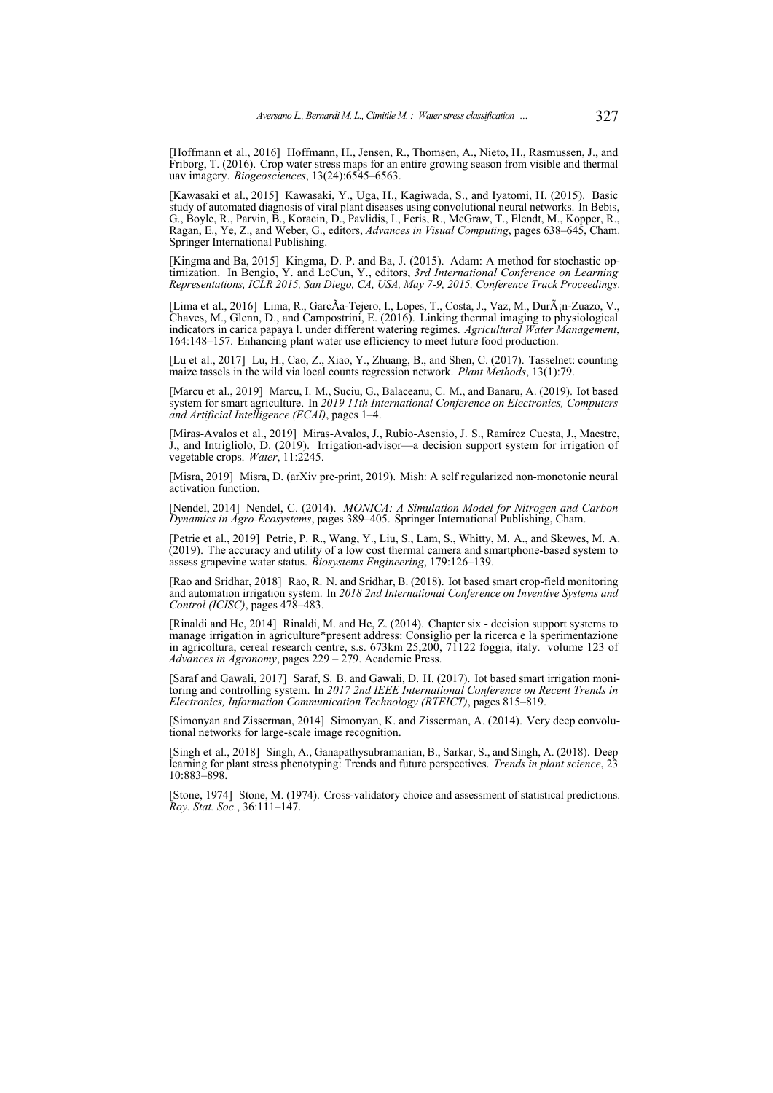<span id="page-16-2"></span>[Hoffmann et al., 2016] Hoffmann, H., Jensen, R., Thomsen, A., Nieto, H., Rasmussen, J., and Friborg, T. (2016). Crop water stress maps for an entire growing season from visible and thermal uav imagery. *Biogeosciences*, 13(24):6545–6563.

<span id="page-16-10"></span>[Kawasaki et al., 2015] Kawasaki, Y., Uga, H., Kagiwada, S., and Iyatomi, H. (2015). Basic study of automated diagnosis of viral plant diseases using convolutional neural networks. In Bebis, G., Boyle, R., Parvin, B., Koracin, D., Pavlidis, I., Feris, R., McGraw, T., Elendt, M., Kopper, R., Ragan, E., Ye, Z., and Weber, G., editors, *Advances in Visual Computing*, pages 638–645, Cham. Springer International Publishing.

<span id="page-16-15"></span>[Kingma and Ba, 2015] Kingma, D. P. and Ba, J. (2015). Adam: A method for stochastic optimization. In Bengio, Y. and LeCun, Y., editors, *3rd International Conference on Learning Representations, ICLR 2015, San Diego, CA, USA, May 7-9, 2015, Conference Track Proceedings*.

<span id="page-16-3"></span>[Lima et al., 2016] Lima, R., GarcÃa-Tejero, I., Lopes, T., Costa, J., Vaz, M., DurÃ<sub>i</sub>n-Zuazo, V. Chaves, M., Glenn, D., and Campostrini, E. (2016). Linking thermal imaging to physiological indicators in carica papaya l. under different watering regimes. *Agricultural Water Management*, 164:148–157. Enhancing plant water use efficiency to meet future food production.

<span id="page-16-12"></span>[Lu et al., 2017] Lu, H., Cao, Z., Xiao, Y., Zhuang, B., and Shen, C. (2017). Tasselnet: counting maize tassels in the wild via local counts regression network. *Plant Methods*, 13(1):79.

<span id="page-16-6"></span>[Marcu et al., 2019] Marcu, I. M., Suciu, G., Balaceanu, C. M., and Banaru, A. (2019). Iot based system for smart agriculture. In *2019 11th International Conference on Electronics, Computers and Artificial Intelligence (ECAI)*, pages 1–4.

<span id="page-16-0"></span>[Miras-Avalos et al., 2019] Miras-Avalos, J., Rubio-Asensio, J. S., Ramírez Cuesta, J., Maestre, J., and Intrigliolo, D. (2019). Irrigation-advisor—a decision support system for irrigation of vegetable crops. *Water*, 11:2245.

<span id="page-16-14"></span>[Misra, 2019] Misra, D. (arXiv pre-print, 2019). Mish: A self regularized non-monotonic neural activation function.

<span id="page-16-11"></span>[Nendel, 2014] Nendel, C. (2014). *MONICA: A Simulation Model for Nitrogen and Carbon Dynamics in Agro-Ecosystems*, pages 389–405. Springer International Publishing, Cham.

<span id="page-16-4"></span>[Petrie et al., 2019] Petrie, P. R., Wang, Y., Liu, S., Lam, S., Whitty, M. A., and Skewes, M. A. (2019). The accuracy and utility of a low cost thermal camera and smartphone-based system to assess grapevine water status. *Biosystems Engineering*, 179:126–139.

<span id="page-16-8"></span>[Rao and Sridhar, 2018] Rao, R. N. and Sridhar, B. (2018). Iot based smart crop-field monitoring and automation irrigation system. In *2018 2nd International Conference on Inventive Systems and Control (ICISC)*, pages 478–483.

<span id="page-16-1"></span>[Rinaldi and He, 2014] Rinaldi, M. and He, Z. (2014). Chapter six - decision support systems to manage irrigation in agriculture\*present address: Consiglio per la ricerca e la sperimentazione in agricoltura, cereal research centre, s.s. 673km 25,200, 71122 foggia, italy. volume 123 of *Advances in Agronomy*, pages 229 – 279. Academic Press.

<span id="page-16-7"></span>[Saraf and Gawali, 2017] Saraf, S. B. and Gawali, D. H. (2017). Iot based smart irrigation monitoring and controlling system. In *2017 2nd IEEE International Conference on Recent Trends in Electronics, Information Communication Technology (RTEICT)*, pages 815–819.

<span id="page-16-5"></span>[Simonyan and Zisserman, 2014] Simonyan, K. and Zisserman, A. (2014). Very deep convolutional networks for large-scale image recognition.

<span id="page-16-9"></span>[Singh et al., 2018] Singh, A., Ganapathysubramanian, B., Sarkar, S., and Singh, A. (2018). Deep learning for plant stress phenotyping: Trends and future perspectives. *Trends in plant science*, 23 10:883–898.

<span id="page-16-13"></span>[Stone, 1974] Stone, M. (1974). Cross-validatory choice and assessment of statistical predictions. *Roy. Stat. Soc.*, 36:111–147.